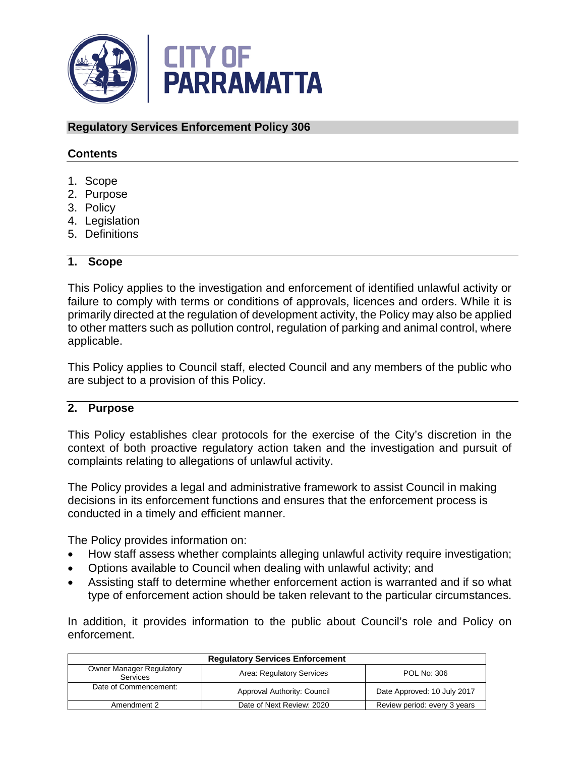

#### **Regulatory Services Enforcement Policy 306**

#### **Contents**

- 1. Scope
- 2. Purpose
- 3. Policy
- 4. Legislation
- 5. Definitions

#### **1. Scope**

This Policy applies to the investigation and enforcement of identified unlawful activity or failure to comply with terms or conditions of approvals, licences and orders. While it is primarily directed at the regulation of development activity, the Policy may also be applied to other matters such as pollution control, regulation of parking and animal control, where applicable.

This Policy applies to Council staff, elected Council and any members of the public who are subject to a provision of this Policy.

#### **2. Purpose**

This Policy establishes clear protocols for the exercise of the City's discretion in the context of both proactive regulatory action taken and the investigation and pursuit of complaints relating to allegations of unlawful activity.

The Policy provides a legal and administrative framework to assist Council in making decisions in its enforcement functions and ensures that the enforcement process is conducted in a timely and efficient manner.

The Policy provides information on:

- How staff assess whether complaints alleging unlawful activity require investigation;
- Options available to Council when dealing with unlawful activity; and
- Assisting staff to determine whether enforcement action is warranted and if so what type of enforcement action should be taken relevant to the particular circumstances.

In addition, it provides information to the public about Council's role and Policy on enforcement.

| <b>Requiatory Services Enforcement</b>                                                         |                             |                              |  |
|------------------------------------------------------------------------------------------------|-----------------------------|------------------------------|--|
| <b>Owner Manager Regulatory</b><br>Area: Regulatory Services<br><b>POL No: 306</b><br>Services |                             |                              |  |
| Date of Commencement:                                                                          | Approval Authority: Council | Date Approved: 10 July 2017  |  |
| Amendment 2                                                                                    | Date of Next Review: 2020   | Review period: every 3 years |  |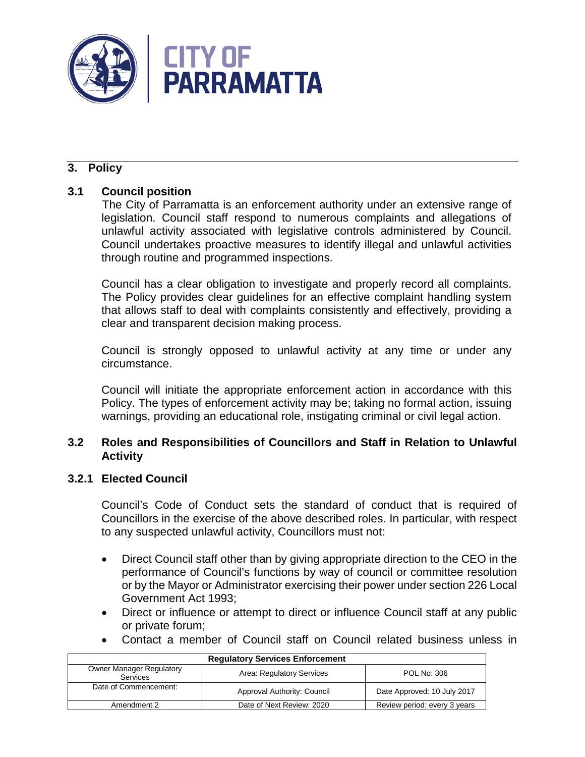

# **3. Policy**

# **3.1 Council position**

The City of Parramatta is an enforcement authority under an extensive range of legislation. Council staff respond to numerous complaints and allegations of unlawful activity associated with legislative controls administered by Council. Council undertakes proactive measures to identify illegal and unlawful activities through routine and programmed inspections.

Council has a clear obligation to investigate and properly record all complaints. The Policy provides clear guidelines for an effective complaint handling system that allows staff to deal with complaints consistently and effectively, providing a clear and transparent decision making process.

Council is strongly opposed to unlawful activity at any time or under any circumstance.

Council will initiate the appropriate enforcement action in accordance with this Policy. The types of enforcement activity may be; taking no formal action, issuing warnings, providing an educational role, instigating criminal or civil legal action.

# **3.2 Roles and Responsibilities of Councillors and Staff in Relation to Unlawful Activity**

# **3.2.1 Elected Council**

Council's Code of Conduct sets the standard of conduct that is required of Councillors in the exercise of the above described roles. In particular, with respect to any suspected unlawful activity, Councillors must not:

- Direct Council staff other than by giving appropriate direction to the CEO in the performance of Council's functions by way of council or committee resolution or by the Mayor or Administrator exercising their power under section 226 Local Government Act 1993;
- Direct or influence or attempt to direct or influence Council staff at any public or private forum;
- Contact a member of Council staff on Council related business unless in

| <b>Requiatory Services Enforcement</b>                                                         |                             |                              |  |
|------------------------------------------------------------------------------------------------|-----------------------------|------------------------------|--|
| <b>Owner Manager Regulatory</b><br>Area: Regulatory Services<br>POL No: 306<br><b>Services</b> |                             |                              |  |
| Date of Commencement:                                                                          | Approval Authority: Council | Date Approved: 10 July 2017  |  |
| Amendment 2                                                                                    | Date of Next Review: 2020   | Review period: every 3 years |  |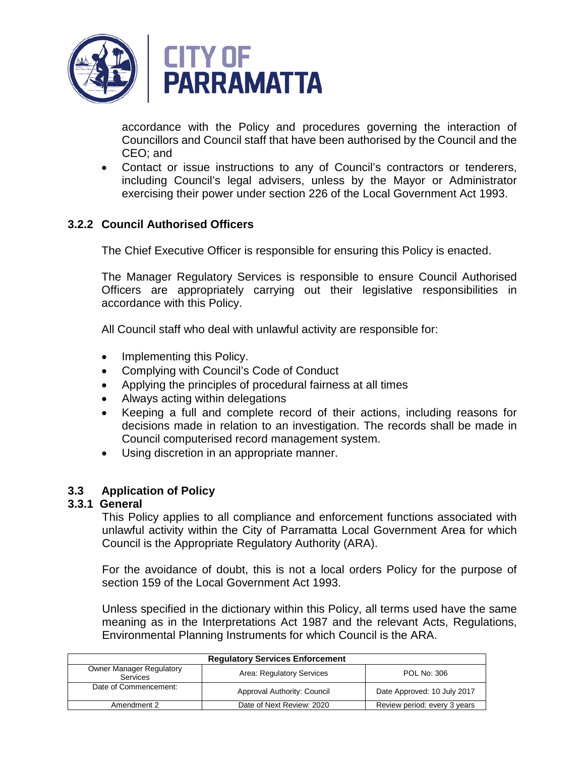

accordance with the Policy and procedures governing the interaction of Councillors and Council staff that have been authorised by the Council and the CEO; and

• Contact or issue instructions to any of Council's contractors or tenderers, including Council's legal advisers, unless by the Mayor or Administrator exercising their power under section 226 of the Local Government Act 1993.

# **3.2.2 Council Authorised Officers**

The Chief Executive Officer is responsible for ensuring this Policy is enacted.

The Manager Regulatory Services is responsible to ensure Council Authorised Officers are appropriately carrying out their legislative responsibilities in accordance with this Policy.

All Council staff who deal with unlawful activity are responsible for:

- Implementing this Policy.
- Complying with Council's Code of Conduct
- Applying the principles of procedural fairness at all times
- Always acting within delegations
- Keeping a full and complete record of their actions, including reasons for decisions made in relation to an investigation. The records shall be made in Council computerised record management system.
- Using discretion in an appropriate manner.

# **3.3 Application of Policy**

# **3.3.1 General**

This Policy applies to all compliance and enforcement functions associated with unlawful activity within the City of Parramatta Local Government Area for which Council is the Appropriate Regulatory Authority (ARA).

For the avoidance of doubt, this is not a local orders Policy for the purpose of section 159 of the Local Government Act 1993.

Unless specified in the dictionary within this Policy, all terms used have the same meaning as in the Interpretations Act 1987 and the relevant Acts, Regulations, Environmental Planning Instruments for which Council is the ARA.

| <b>Requiatory Services Enforcement</b>                                                         |                             |                              |  |
|------------------------------------------------------------------------------------------------|-----------------------------|------------------------------|--|
| <b>Owner Manager Regulatory</b><br>Area: Regulatory Services<br>POL No: 306<br><b>Services</b> |                             |                              |  |
| Date of Commencement:                                                                          | Approval Authority: Council | Date Approved: 10 July 2017  |  |
| Amendment 2                                                                                    | Date of Next Review: 2020   | Review period: every 3 years |  |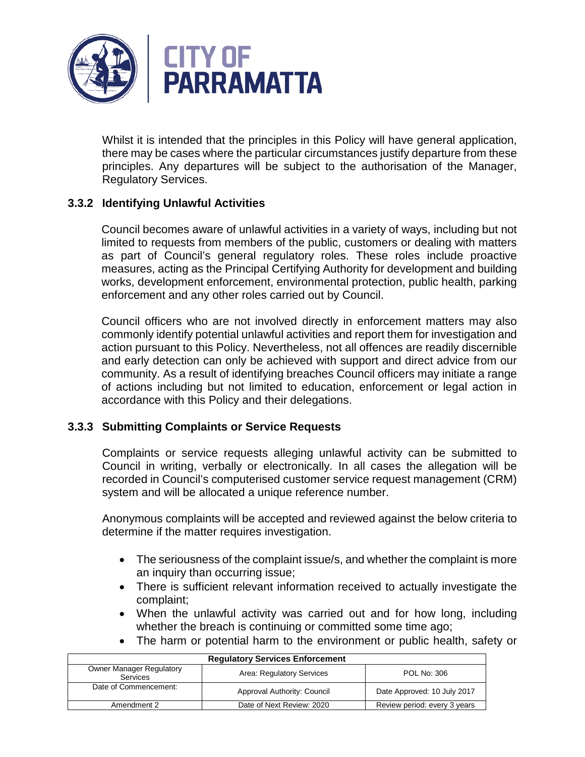

Whilst it is intended that the principles in this Policy will have general application, there may be cases where the particular circumstances justify departure from these principles. Any departures will be subject to the authorisation of the Manager, Regulatory Services.

# **3.3.2 Identifying Unlawful Activities**

Council becomes aware of unlawful activities in a variety of ways, including but not limited to requests from members of the public, customers or dealing with matters as part of Council's general regulatory roles. These roles include proactive measures, acting as the Principal Certifying Authority for development and building works, development enforcement, environmental protection, public health, parking enforcement and any other roles carried out by Council.

Council officers who are not involved directly in enforcement matters may also commonly identify potential unlawful activities and report them for investigation and action pursuant to this Policy. Nevertheless, not all offences are readily discernible and early detection can only be achieved with support and direct advice from our community. As a result of identifying breaches Council officers may initiate a range of actions including but not limited to education, enforcement or legal action in accordance with this Policy and their delegations.

# **3.3.3 Submitting Complaints or Service Requests**

Complaints or service requests alleging unlawful activity can be submitted to Council in writing, verbally or electronically. In all cases the allegation will be recorded in Council's computerised customer service request management (CRM) system and will be allocated a unique reference number.

Anonymous complaints will be accepted and reviewed against the below criteria to determine if the matter requires investigation.

- The seriousness of the complaint issue/s, and whether the complaint is more an inquiry than occurring issue;
- There is sufficient relevant information received to actually investigate the complaint;
- When the unlawful activity was carried out and for how long, including whether the breach is continuing or committed some time ago;
- The harm or potential harm to the environment or public health, safety or

| <b>Requiatory Services Enforcement</b>             |                             |                              |  |
|----------------------------------------------------|-----------------------------|------------------------------|--|
| <b>Owner Manager Regulatory</b><br><b>Services</b> | Area: Regulatory Services   | POL No: 306                  |  |
| Date of Commencement:                              | Approval Authority: Council | Date Approved: 10 July 2017  |  |
| Amendment 2                                        | Date of Next Review: 2020   | Review period: every 3 years |  |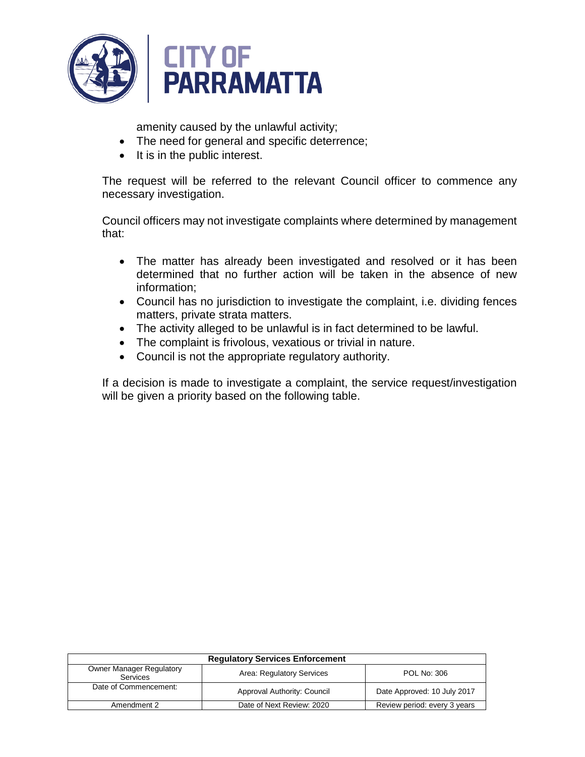

amenity caused by the unlawful activity;

- The need for general and specific deterrence;
- It is in the public interest.

The request will be referred to the relevant Council officer to commence any necessary investigation.

Council officers may not investigate complaints where determined by management that:

- The matter has already been investigated and resolved or it has been determined that no further action will be taken in the absence of new information;
- Council has no jurisdiction to investigate the complaint, i.e. dividing fences matters, private strata matters.
- The activity alleged to be unlawful is in fact determined to be lawful.
- The complaint is frivolous, vexatious or trivial in nature.
- Council is not the appropriate regulatory authority.

If a decision is made to investigate a complaint, the service request/investigation will be given a priority based on the following table.

| <b>Requiatory Services Enforcement</b>                                                         |                             |                              |  |
|------------------------------------------------------------------------------------------------|-----------------------------|------------------------------|--|
| <b>Owner Manager Regulatory</b><br>Area: Regulatory Services<br>POL No: 306<br><b>Services</b> |                             |                              |  |
| Date of Commencement:                                                                          | Approval Authority: Council | Date Approved: 10 July 2017  |  |
| Amendment 2                                                                                    | Date of Next Review: 2020   | Review period: every 3 years |  |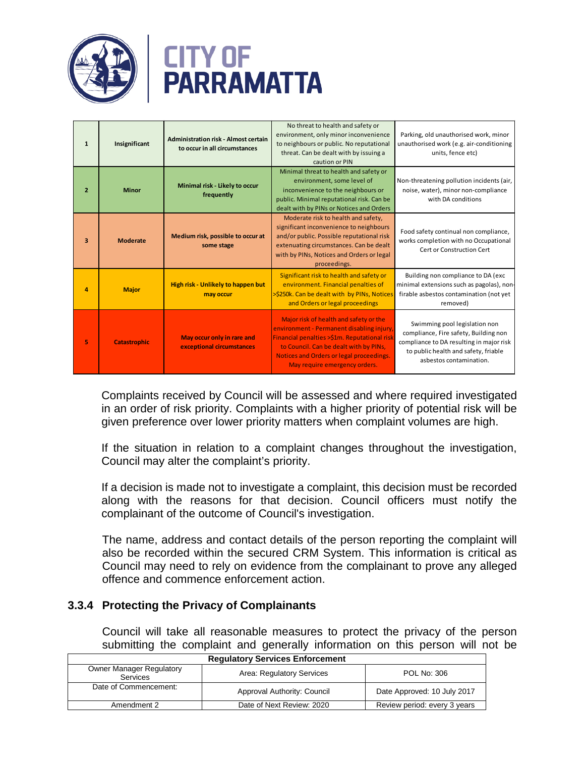

# **CITY OF<br>PARRAMATTA**

| 5                       | <b>Catastrophic</b> | May occur only in rare and<br>exceptional circumstances                      | Major risk of health and safety or the<br>environment - Permanent disabling injury<br>Financial penalties >\$1m. Reputational risk<br>to Council. Can be dealt with by PINs,<br>Notices and Orders or legal proceedings.<br>May require emergency orders. | Swimming pool legislation non<br>compliance, Fire safety, Building non<br>compliance to DA resulting in major risk<br>to public health and safety, friable<br>asbestos contamination. |
|-------------------------|---------------------|------------------------------------------------------------------------------|-----------------------------------------------------------------------------------------------------------------------------------------------------------------------------------------------------------------------------------------------------------|---------------------------------------------------------------------------------------------------------------------------------------------------------------------------------------|
| 4                       | <b>Major</b>        | High risk - Unlikely to happen but<br>may occur                              | Significant risk to health and safety or<br>environment. Financial penalties of<br>>\$250k. Can be dealt with by PINs, Notices<br>and Orders or legal proceedings                                                                                         | Building non compliance to DA (exc<br>minimal extensions such as pagolas), non-<br>firable asbestos contamination (not yet<br>removed)                                                |
| $\overline{\mathbf{3}}$ | <b>Moderate</b>     | Medium risk, possible to occur at<br>some stage                              | Moderate risk to health and safety,<br>significant inconvenience to neighbours<br>and/or public. Possible reputational risk<br>extenuating circumstances. Can be dealt<br>with by PINs, Notices and Orders or legal<br>proceedings.                       | Food safety continual non compliance,<br>works completion with no Occupational<br>Cert or Construction Cert                                                                           |
| $\overline{2}$          | <b>Minor</b>        | Minimal risk - Likely to occur<br>frequently                                 | Minimal threat to health and safety or<br>environment, some level of<br>inconvenience to the neighbours or<br>public. Minimal reputational risk. Can be<br>dealt with by PINs or Notices and Orders                                                       | Non-threatening pollution incidents (air,<br>noise, water), minor non-compliance<br>with DA conditions                                                                                |
| $\mathbf{1}$            | Insignificant       | <b>Administration risk - Almost certain</b><br>to occur in all circumstances | No threat to health and safety or<br>environment, only minor inconvenience<br>to neighbours or public. No reputational<br>threat. Can be dealt with by issuing a<br>caution or PIN                                                                        | Parking, old unauthorised work, minor<br>unauthorised work (e.g. air-conditioning<br>units, fence etc)                                                                                |

Complaints received by Council will be assessed and where required investigated in an order of risk priority. Complaints with a higher priority of potential risk will be given preference over lower priority matters when complaint volumes are high.

If the situation in relation to a complaint changes throughout the investigation, Council may alter the complaint's priority.

If a decision is made not to investigate a complaint, this decision must be recorded along with the reasons for that decision. Council officers must notify the complainant of the outcome of Council's investigation.

The name, address and contact details of the person reporting the complaint will also be recorded within the secured CRM System. This information is critical as Council may need to rely on evidence from the complainant to prove any alleged offence and commence enforcement action.

# **3.3.4 Protecting the Privacy of Complainants**

Council will take all reasonable measures to protect the privacy of the person submitting the complaint and generally information on this person will not be

| <b>Requiatory Services Enforcement</b>             |                             |                              |  |
|----------------------------------------------------|-----------------------------|------------------------------|--|
| <b>Owner Manager Regulatory</b><br><b>Services</b> | Area: Regulatory Services   | <b>POL No: 306</b>           |  |
| Date of Commencement:                              | Approval Authority: Council | Date Approved: 10 July 2017  |  |
| Amendment 2                                        | Date of Next Review: 2020   | Review period: every 3 years |  |

# **Regulatory Services Enforcement**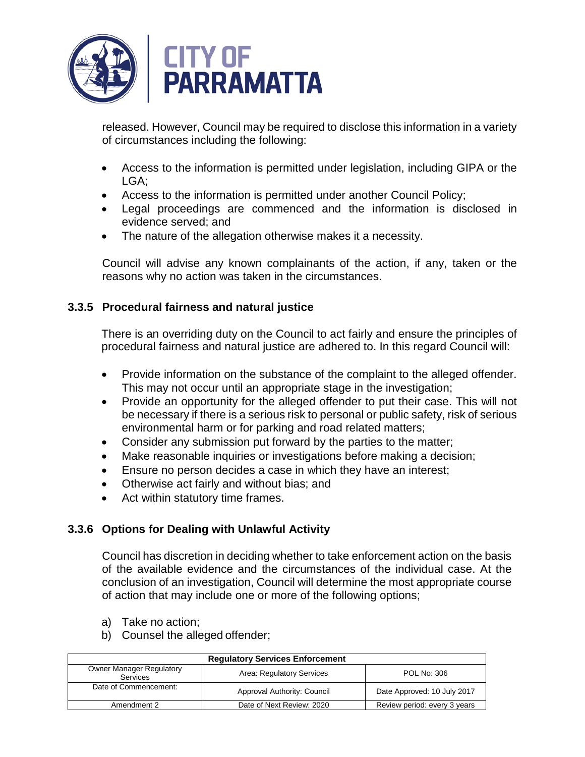

released. However, Council may be required to disclose this information in a variety of circumstances including the following:

- Access to the information is permitted under legislation, including GIPA or the LGA;
- Access to the information is permitted under another Council Policy;
- Legal proceedings are commenced and the information is disclosed in evidence served; and
- The nature of the allegation otherwise makes it a necessity.

Council will advise any known complainants of the action, if any, taken or the reasons why no action was taken in the circumstances.

# **3.3.5 Procedural fairness and natural justice**

There is an overriding duty on the Council to act fairly and ensure the principles of procedural fairness and natural justice are adhered to. In this regard Council will:

- Provide information on the substance of the complaint to the alleged offender. This may not occur until an appropriate stage in the investigation;
- Provide an opportunity for the alleged offender to put their case. This will not be necessary if there is a serious risk to personal or public safety, risk of serious environmental harm or for parking and road related matters;
- Consider any submission put forward by the parties to the matter;
- Make reasonable inquiries or investigations before making a decision;
- Ensure no person decides a case in which they have an interest;
- Otherwise act fairly and without bias; and
- Act within statutory time frames.

# **3.3.6 Options for Dealing with Unlawful Activity**

Council has discretion in deciding whether to take enforcement action on the basis of the available evidence and the circumstances of the individual case. At the conclusion of an investigation, Council will determine the most appropriate course of action that may include one or more of the following options;

- a) Take no action;
- b) Counsel the alleged offender;

| <b>Requiatory Services Enforcement</b>                                                         |                             |                              |  |
|------------------------------------------------------------------------------------------------|-----------------------------|------------------------------|--|
| <b>Owner Manager Regulatory</b><br>Area: Regulatory Services<br>POL No: 306<br><b>Services</b> |                             |                              |  |
| Date of Commencement:                                                                          | Approval Authority: Council | Date Approved: 10 July 2017  |  |
| Amendment 2                                                                                    | Date of Next Review: 2020   | Review period: every 3 years |  |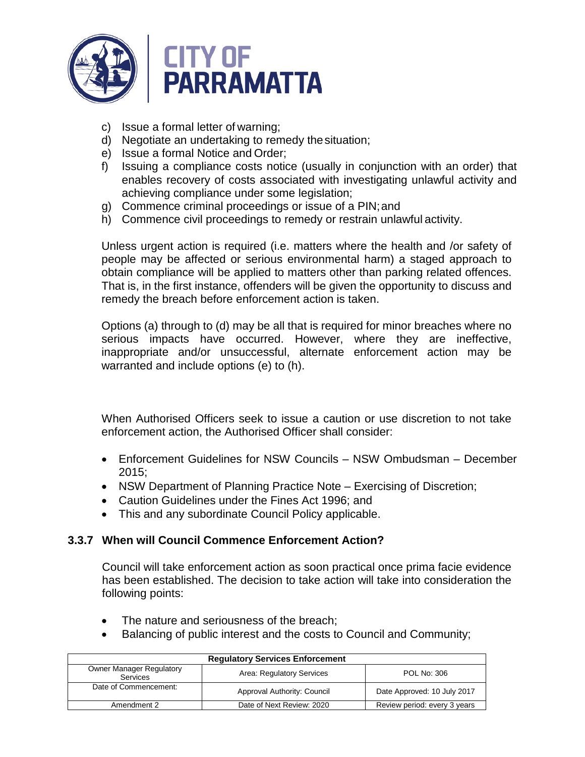

- c) Issue a formal letter of warning;
- d) Negotiate an undertaking to remedy thesituation;
- e) Issue a formal Notice and Order;
- f) Issuing a compliance costs notice (usually in conjunction with an order) that enables recovery of costs associated with investigating unlawful activity and achieving compliance under some legislation;
- g) Commence criminal proceedings or issue of a PIN;and
- h) Commence civil proceedings to remedy or restrain unlawful activity.

Unless urgent action is required (i.e. matters where the health and /or safety of people may be affected or serious environmental harm) a staged approach to obtain compliance will be applied to matters other than parking related offences. That is, in the first instance, offenders will be given the opportunity to discuss and remedy the breach before enforcement action is taken.

Options (a) through to (d) may be all that is required for minor breaches where no serious impacts have occurred. However, where they are ineffective, inappropriate and/or unsuccessful, alternate enforcement action may be warranted and include options (e) to (h).

When Authorised Officers seek to issue a caution or use discretion to not take enforcement action, the Authorised Officer shall consider:

- Enforcement Guidelines for NSW Councils NSW Ombudsman December 2015;
- NSW Department of Planning Practice Note Exercising of Discretion;
- Caution Guidelines under the Fines Act 1996; and
- This and any subordinate Council Policy applicable.

# **3.3.7 When will Council Commence Enforcement Action?**

Council will take enforcement action as soon practical once prima facie evidence has been established. The decision to take action will take into consideration the following points:

- The nature and seriousness of the breach;
- Balancing of public interest and the costs to Council and Community;

| <b>Requiatory Services Enforcement</b>                                                                |                           |                              |  |
|-------------------------------------------------------------------------------------------------------|---------------------------|------------------------------|--|
| <b>Owner Manager Regulatory</b><br>Area: Regulatory Services<br><b>POL No: 306</b><br><b>Services</b> |                           |                              |  |
| Date of Commencement:<br>Date Approved: 10 July 2017<br>Approval Authority: Council                   |                           |                              |  |
| Amendment 2                                                                                           | Date of Next Review: 2020 | Review period: every 3 years |  |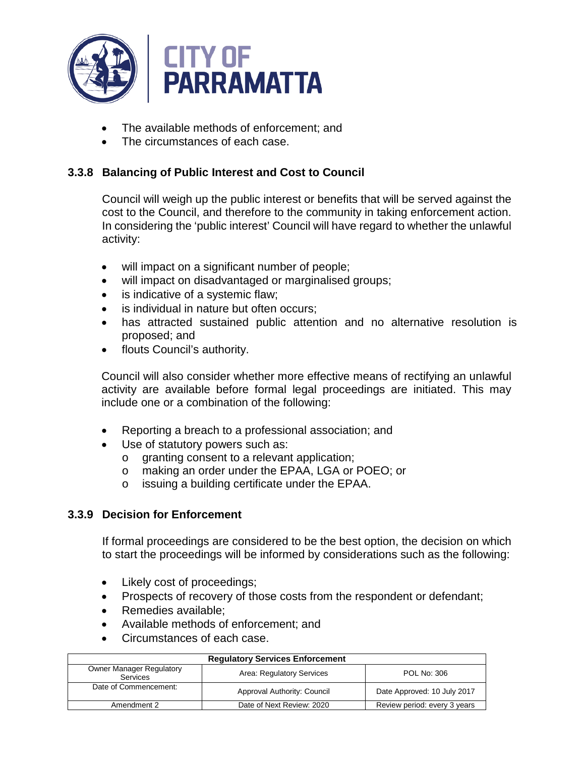

- The available methods of enforcement; and
- The circumstances of each case.

# **3.3.8 Balancing of Public Interest and Cost to Council**

Council will weigh up the public interest or benefits that will be served against the cost to the Council, and therefore to the community in taking enforcement action. In considering the 'public interest' Council will have regard to whether the unlawful activity:

- will impact on a significant number of people;
- will impact on disadvantaged or marginalised groups;
- is indicative of a systemic flaw;
- is individual in nature but often occurs:
- has attracted sustained public attention and no alternative resolution is proposed; and
- flouts Council's authority.

Council will also consider whether more effective means of rectifying an unlawful activity are available before formal legal proceedings are initiated. This may include one or a combination of the following:

- Reporting a breach to a professional association; and
- Use of statutory powers such as:
	- o granting consent to a relevant application;
	- o making an order under the EPAA, LGA or POEO; or
	- o issuing a building certificate under the EPAA.

# **3.3.9 Decision for Enforcement**

If formal proceedings are considered to be the best option, the decision on which to start the proceedings will be informed by considerations such as the following:

- Likely cost of proceedings;
- Prospects of recovery of those costs from the respondent or defendant;
- Remedies available;
- Available methods of enforcement; and
- Circumstances of each case.

| <b>Requiatory Services Enforcement</b>                                                                |                             |                              |  |
|-------------------------------------------------------------------------------------------------------|-----------------------------|------------------------------|--|
| <b>Owner Manager Regulatory</b><br>Area: Regulatory Services<br><b>POL No: 306</b><br><b>Services</b> |                             |                              |  |
| Date of Commencement:                                                                                 | Approval Authority: Council | Date Approved: 10 July 2017  |  |
| Amendment 2                                                                                           | Date of Next Review: 2020   | Review period: every 3 years |  |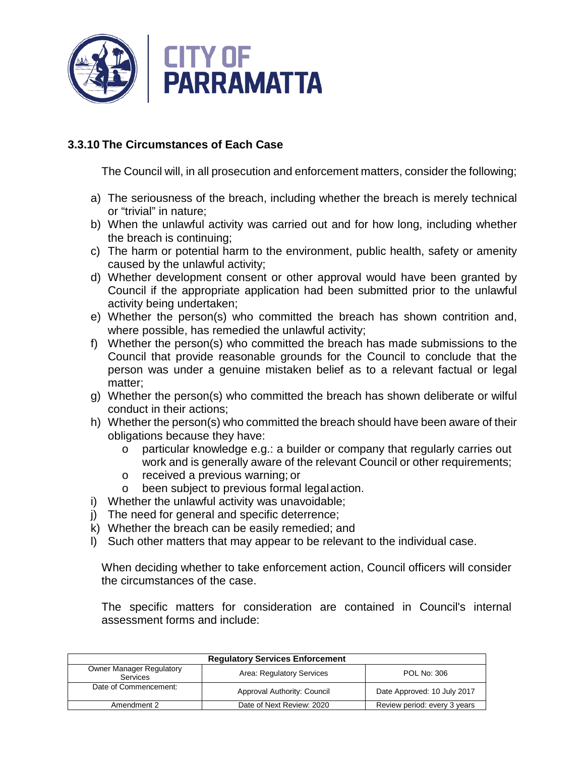

# **3.3.10 The Circumstances of Each Case**

The Council will, in all prosecution and enforcement matters, consider the following;

- a) The seriousness of the breach, including whether the breach is merely technical or "trivial" in nature;
- b) When the unlawful activity was carried out and for how long, including whether the breach is continuing;
- c) The harm or potential harm to the environment, public health, safety or amenity caused by the unlawful activity;
- d) Whether development consent or other approval would have been granted by Council if the appropriate application had been submitted prior to the unlawful activity being undertaken;
- e) Whether the person(s) who committed the breach has shown contrition and, where possible, has remedied the unlawful activity;
- f) Whether the person(s) who committed the breach has made submissions to the Council that provide reasonable grounds for the Council to conclude that the person was under a genuine mistaken belief as to a relevant factual or legal matter;
- g) Whether the person(s) who committed the breach has shown deliberate or wilful conduct in their actions;
- h) Whether the person(s) who committed the breach should have been aware of their obligations because they have:
	- o particular knowledge e.g.: a builder or company that regularly carries out work and is generally aware of the relevant Council or other requirements;
	- o received a previous warning; or<br>o been subiect to previous formal
	- been subject to previous formal legal action.
- i) Whether the unlawful activity was unavoidable;
- j) The need for general and specific deterrence;
- k) Whether the breach can be easily remedied; and
- l) Such other matters that may appear to be relevant to the individual case.

When deciding whether to take enforcement action, Council officers will consider the circumstances of the case.

The specific matters for consideration are contained in Council's internal assessment forms and include:

| <b>Requiatory Services Enforcement</b>                                                  |                             |                              |  |
|-----------------------------------------------------------------------------------------|-----------------------------|------------------------------|--|
| <b>Owner Manager Regulatory</b><br>Area: Regulatory Services<br>POL No: 306<br>Services |                             |                              |  |
| Date of Commencement:                                                                   | Approval Authority: Council | Date Approved: 10 July 2017  |  |
| Amendment 2                                                                             | Date of Next Review: 2020   | Review period: every 3 years |  |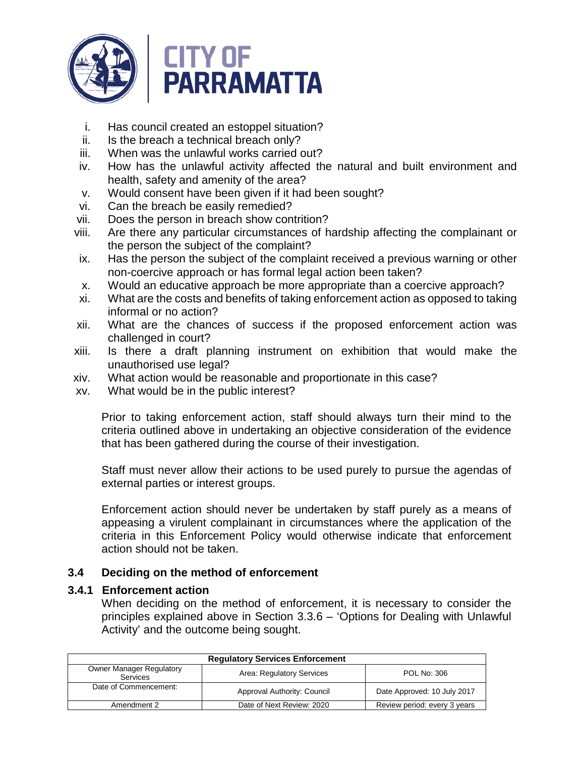

- i. Has council created an estoppel situation?
- ii. Is the breach a technical breach only?
- iii. When was the unlawful works carried out?
- iv. How has the unlawful activity affected the natural and built environment and health, safety and amenity of the area?
- v. Would consent have been given if it had been sought?
- vi. Can the breach be easily remedied?
- vii. Does the person in breach show contrition?
- viii. Are there any particular circumstances of hardship affecting the complainant or the person the subject of the complaint?
- ix. Has the person the subject of the complaint received a previous warning or other non-coercive approach or has formal legal action been taken?
- x. Would an educative approach be more appropriate than a coercive approach?
- xi. What are the costs and benefits of taking enforcement action as opposed to taking informal or no action?
- xii. What are the chances of success if the proposed enforcement action was challenged in court?
- xiii. Is there a draft planning instrument on exhibition that would make the unauthorised use legal?
- xiv. What action would be reasonable and proportionate in this case?
- xv. What would be in the public interest?

Prior to taking enforcement action, staff should always turn their mind to the criteria outlined above in undertaking an objective consideration of the evidence that has been gathered during the course of their investigation.

Staff must never allow their actions to be used purely to pursue the agendas of external parties or interest groups.

Enforcement action should never be undertaken by staff purely as a means of appeasing a virulent complainant in circumstances where the application of the criteria in this Enforcement Policy would otherwise indicate that enforcement action should not be taken.

# **3.4 Deciding on the method of enforcement**

# **3.4.1 Enforcement action**

When deciding on the method of enforcement, it is necessary to consider the principles explained above in Section 3.3.6 – 'Options for Dealing with Unlawful Activity' and the outcome being sought.

| <b>Requiatory Services Enforcement</b>                                                                |                             |                              |  |
|-------------------------------------------------------------------------------------------------------|-----------------------------|------------------------------|--|
| <b>Owner Manager Regulatory</b><br>Area: Regulatory Services<br><b>POL No: 306</b><br><b>Services</b> |                             |                              |  |
| Date of Commencement:                                                                                 | Approval Authority: Council | Date Approved: 10 July 2017  |  |
| Amendment 2                                                                                           | Date of Next Review: 2020   | Review period: every 3 years |  |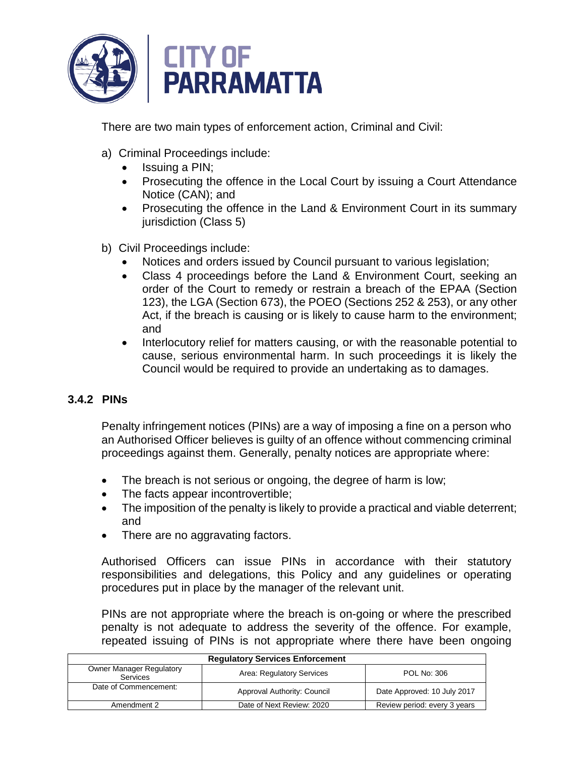

There are two main types of enforcement action, Criminal and Civil:

- a) Criminal Proceedings include:
	- Issuing a PIN;
	- Prosecuting the offence in the Local Court by issuing a Court Attendance Notice (CAN); and
	- Prosecuting the offence in the Land & Environment Court in its summary jurisdiction (Class 5)
- b) Civil Proceedings include:
	- Notices and orders issued by Council pursuant to various legislation;
	- Class 4 proceedings before the Land & Environment Court, seeking an order of the Court to remedy or restrain a breach of the EPAA (Section 123), the LGA (Section 673), the POEO (Sections 252 & 253), or any other Act, if the breach is causing or is likely to cause harm to the environment; and
	- Interlocutory relief for matters causing, or with the reasonable potential to cause, serious environmental harm. In such proceedings it is likely the Council would be required to provide an undertaking as to damages.

# **3.4.2 PINs**

Penalty infringement notices (PINs) are a way of imposing a fine on a person who an Authorised Officer believes is guilty of an offence without commencing criminal proceedings against them. Generally, penalty notices are appropriate where:

- The breach is not serious or ongoing, the degree of harm is low;
- The facts appear incontrovertible;
- The imposition of the penalty is likely to provide a practical and viable deterrent; and
- There are no aggravating factors.

Authorised Officers can issue PINs in accordance with their statutory responsibilities and delegations, this Policy and any guidelines or operating procedures put in place by the manager of the relevant unit.

PINs are not appropriate where the breach is on-going or where the prescribed penalty is not adequate to address the severity of the offence. For example, repeated issuing of PINs is not appropriate where there have been ongoing

| <b>Requlatory Services Enforcement</b>                                                  |                                                            |  |  |
|-----------------------------------------------------------------------------------------|------------------------------------------------------------|--|--|
| <b>Owner Manager Regulatory</b><br>Area: Regulatory Services<br>POL No: 306<br>Services |                                                            |  |  |
| Date of Commencement:                                                                   | Date Approved: 10 July 2017<br>Approval Authority: Council |  |  |
| Review period: every 3 years<br>Date of Next Review: 2020<br>Amendment 2                |                                                            |  |  |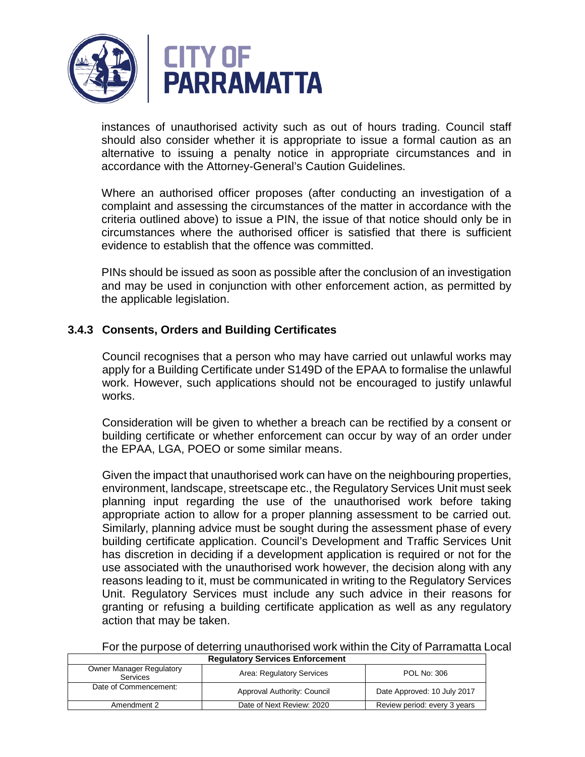

instances of unauthorised activity such as out of hours trading. Council staff should also consider whether it is appropriate to issue a formal caution as an alternative to issuing a penalty notice in appropriate circumstances and in accordance with the Attorney-General's Caution Guidelines.

Where an authorised officer proposes (after conducting an investigation of a complaint and assessing the circumstances of the matter in accordance with the criteria outlined above) to issue a PIN, the issue of that notice should only be in circumstances where the authorised officer is satisfied that there is sufficient evidence to establish that the offence was committed.

PINs should be issued as soon as possible after the conclusion of an investigation and may be used in conjunction with other enforcement action, as permitted by the applicable legislation.

# **3.4.3 Consents, Orders and Building Certificates**

Council recognises that a person who may have carried out unlawful works may apply for a Building Certificate under S149D of the EPAA to formalise the unlawful work. However, such applications should not be encouraged to justify unlawful works.

Consideration will be given to whether a breach can be rectified by a consent or building certificate or whether enforcement can occur by way of an order under the EPAA, LGA, POEO or some similar means.

Given the impact that unauthorised work can have on the neighbouring properties, environment, landscape, streetscape etc., the Regulatory Services Unit must seek planning input regarding the use of the unauthorised work before taking appropriate action to allow for a proper planning assessment to be carried out. Similarly, planning advice must be sought during the assessment phase of every building certificate application. Council's Development and Traffic Services Unit has discretion in deciding if a development application is required or not for the use associated with the unauthorised work however, the decision along with any reasons leading to it, must be communicated in writing to the Regulatory Services Unit. Regulatory Services must include any such advice in their reasons for granting or refusing a building certificate application as well as any regulatory action that may be taken.

**Regulatory Services Enforcement**  For the purpose of deterring unauthorised work within the City of Parramatta Local

| <b>Owner Manager Regulatory</b><br><b>Services</b> | Area: Regulatory Services   | POL No: 306                  |
|----------------------------------------------------|-----------------------------|------------------------------|
| Date of Commencement:                              | Approval Authority: Council | Date Approved: 10 July 2017  |
| Amendment 2                                        | Date of Next Review: 2020   | Review period: every 3 years |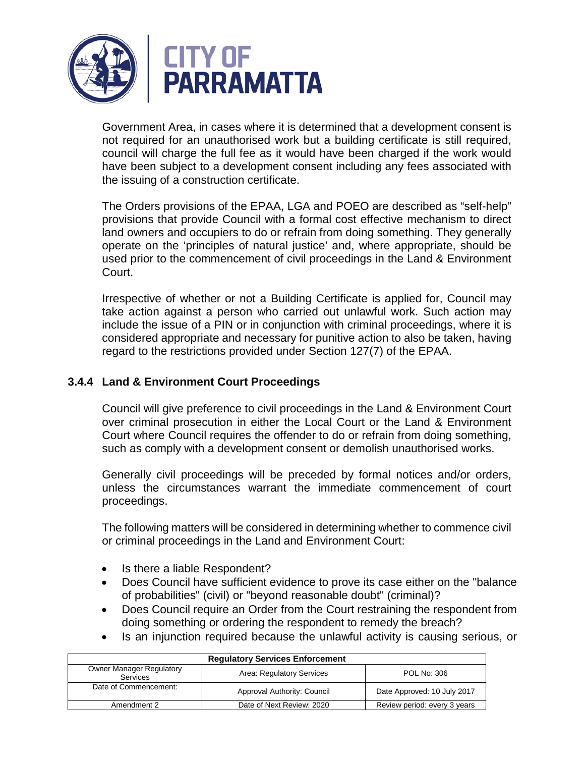

Government Area, in cases where it is determined that a development consent is not required for an unauthorised work but a building certificate is still required, council will charge the full fee as it would have been charged if the work would have been subject to a development consent including any fees associated with the issuing of a construction certificate.

The Orders provisions of the EPAA, LGA and POEO are described as "self-help" provisions that provide Council with a formal cost effective mechanism to direct land owners and occupiers to do or refrain from doing something. They generally operate on the 'principles of natural justice' and, where appropriate, should be used prior to the commencement of civil proceedings in the Land & Environment Court.

Irrespective of whether or not a Building Certificate is applied for, Council may take action against a person who carried out unlawful work. Such action may include the issue of a PIN or in conjunction with criminal proceedings, where it is considered appropriate and necessary for punitive action to also be taken, having regard to the restrictions provided under Section 127(7) of the EPAA.

# **3.4.4 Land & Environment Court Proceedings**

Council will give preference to civil proceedings in the Land & Environment Court over criminal prosecution in either the Local Court or the Land & Environment Court where Council requires the offender to do or refrain from doing something, such as comply with a development consent or demolish unauthorised works.

Generally civil proceedings will be preceded by formal notices and/or orders, unless the circumstances warrant the immediate commencement of court proceedings.

The following matters will be considered in determining whether to commence civil or criminal proceedings in the Land and Environment Court:

- Is there a liable Respondent?
- Does Council have sufficient evidence to prove its case either on the "balance of probabilities" (civil) or "beyond reasonable doubt" (criminal)?
- Does Council require an Order from the Court restraining the respondent from doing something or ordering the respondent to remedy the breach?
- Is an injunction required because the unlawful activity is causing serious, or

| <b>Requiatory Services Enforcement</b>                                                  |                                                            |  |  |
|-----------------------------------------------------------------------------------------|------------------------------------------------------------|--|--|
| <b>Owner Manager Regulatory</b><br>Area: Regulatory Services<br>POL No: 306<br>Services |                                                            |  |  |
| Date of Commencement:                                                                   | Date Approved: 10 July 2017<br>Approval Authority: Council |  |  |
| Date of Next Review: 2020<br>Review period: every 3 years<br>Amendment 2                |                                                            |  |  |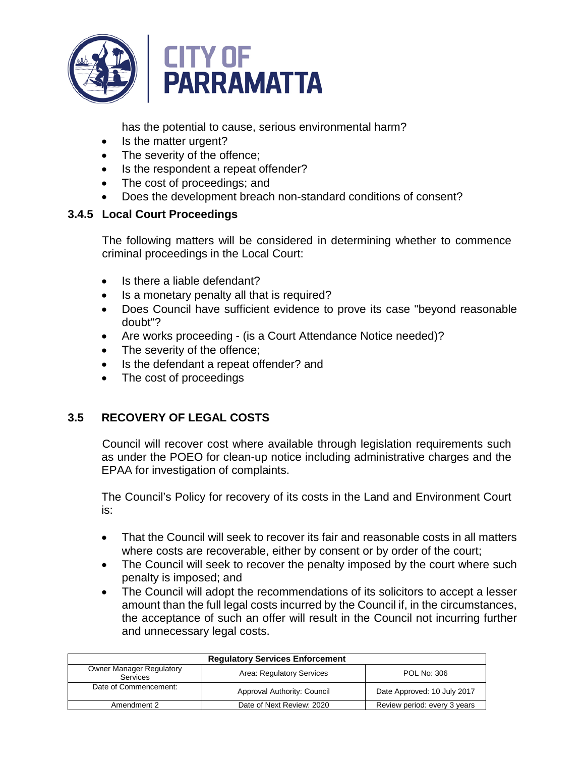

has the potential to cause, serious environmental harm?

- Is the matter urgent?
- The severity of the offence;
- Is the respondent a repeat offender?
- The cost of proceedings; and
- Does the development breach non-standard conditions of consent?

# **3.4.5 Local Court Proceedings**

The following matters will be considered in determining whether to commence criminal proceedings in the Local Court:

- Is there a liable defendant?
- Is a monetary penalty all that is required?
- Does Council have sufficient evidence to prove its case "beyond reasonable doubt"?
- Are works proceeding (is a Court Attendance Notice needed)?
- The severity of the offence;
- Is the defendant a repeat offender? and
- The cost of proceedings

# **3.5 RECOVERY OF LEGAL COSTS**

Council will recover cost where available through legislation requirements such as under the POEO for clean-up notice including administrative charges and the EPAA for investigation of complaints.

The Council's Policy for recovery of its costs in the Land and Environment Court is:

- That the Council will seek to recover its fair and reasonable costs in all matters where costs are recoverable, either by consent or by order of the court;
- The Council will seek to recover the penalty imposed by the court where such penalty is imposed; and
- The Council will adopt the recommendations of its solicitors to accept a lesser amount than the full legal costs incurred by the Council if, in the circumstances, the acceptance of such an offer will result in the Council not incurring further and unnecessary legal costs.

| <b>Requiatory Services Enforcement</b>                                                         |                                                            |                              |  |
|------------------------------------------------------------------------------------------------|------------------------------------------------------------|------------------------------|--|
| <b>Owner Manager Regulatory</b><br>Area: Regulatory Services<br>POL No: 306<br><b>Services</b> |                                                            |                              |  |
| Date of Commencement:                                                                          | Date Approved: 10 July 2017<br>Approval Authority: Council |                              |  |
| Amendment 2                                                                                    | Date of Next Review: 2020                                  | Review period: every 3 years |  |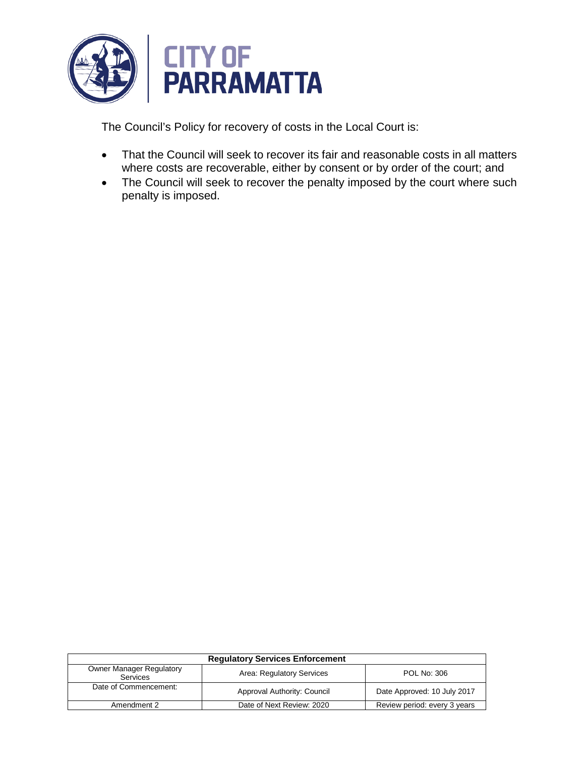

The Council's Policy for recovery of costs in the Local Court is:

- That the Council will seek to recover its fair and reasonable costs in all matters where costs are recoverable, either by consent or by order of the court; and
- The Council will seek to recover the penalty imposed by the court where such penalty is imposed.

| <b>Requiatory Services Enforcement</b>                                                  |                             |                              |  |
|-----------------------------------------------------------------------------------------|-----------------------------|------------------------------|--|
| <b>Owner Manager Regulatory</b><br>Area: Regulatory Services<br>POL No: 306<br>Services |                             |                              |  |
| Date of Commencement:                                                                   | Approval Authority: Council | Date Approved: 10 July 2017  |  |
| Amendment 2                                                                             | Date of Next Review: 2020   | Review period: every 3 years |  |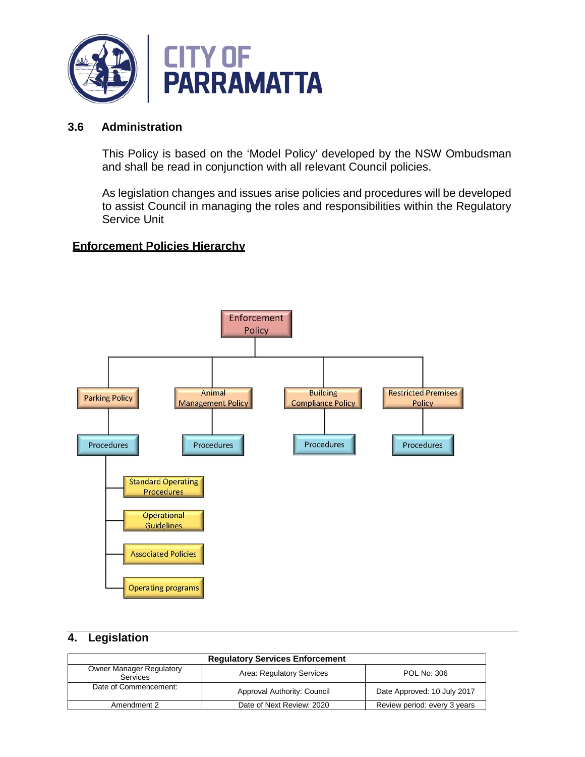

#### **3.6 Administration**

This Policy is based on the 'Model Policy' developed by the NSW Ombudsman and shall be read in conjunction with all relevant Council policies.

As legislation changes and issues arise policies and procedures will be developed to assist Council in managing the roles and responsibilities within the Regulatory Service Unit

#### **Enforcement Policies Hierarchy**



# **4. Legislation**

| <b>Regulatory Services Enforcement</b>                                                  |                                                            |                              |  |
|-----------------------------------------------------------------------------------------|------------------------------------------------------------|------------------------------|--|
| <b>Owner Manager Regulatory</b><br>Area: Regulatory Services<br>POL No: 306<br>Services |                                                            |                              |  |
| Date of Commencement:                                                                   | Date Approved: 10 July 2017<br>Approval Authority: Council |                              |  |
| Amendment 2                                                                             | Date of Next Review: 2020                                  | Review period: every 3 years |  |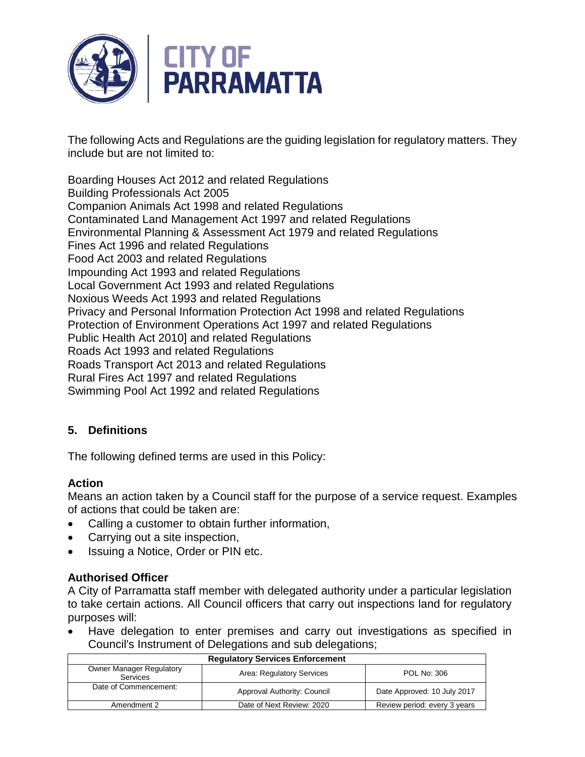

The following Acts and Regulations are the guiding legislation for regulatory matters. They include but are not limited to:

Boarding Houses Act 2012 and related Regulations Building Professionals Act 2005 Companion Animals Act 1998 and related Regulations Contaminated Land Management Act 1997 and related Regulations Environmental Planning & Assessment Act 1979 and related Regulations Fines Act 1996 and related Regulations Food Act 2003 and related Regulations Impounding Act 1993 and related Regulations Local Government Act 1993 and related Regulations Noxious Weeds Act 1993 and related Regulations Privacy and Personal Information Protection Act 1998 and related Regulations Protection of Environment Operations Act 1997 and related Regulations Public Health Act 2010] and related Regulations Roads Act 1993 and related Regulations Roads Transport Act 2013 and related Regulations Rural Fires Act 1997 and related Regulations Swimming Pool Act 1992 and related Regulations

# **5. Definitions**

The following defined terms are used in this Policy:

# **Action**

Means an action taken by a Council staff for the purpose of a service request. Examples of actions that could be taken are:

- Calling a customer to obtain further information,
- Carrying out a site inspection,
- Issuing a Notice, Order or PIN etc.

# **Authorised Officer**

A City of Parramatta staff member with delegated authority under a particular legislation to take certain actions. All Council officers that carry out inspections land for regulatory purposes will:

• Have delegation to enter premises and carry out investigations as specified in Council's Instrument of Delegations and sub delegations;

| <b>Requiatory Services Enforcement</b>             |                                                            |                              |  |  |
|----------------------------------------------------|------------------------------------------------------------|------------------------------|--|--|
| <b>Owner Manager Regulatory</b><br><b>Services</b> | <b>POL No: 306</b><br>Area: Regulatory Services            |                              |  |  |
| Date of Commencement:                              | Date Approved: 10 July 2017<br>Approval Authority: Council |                              |  |  |
| Amendment 2                                        | Date of Next Review: 2020                                  | Review period: every 3 years |  |  |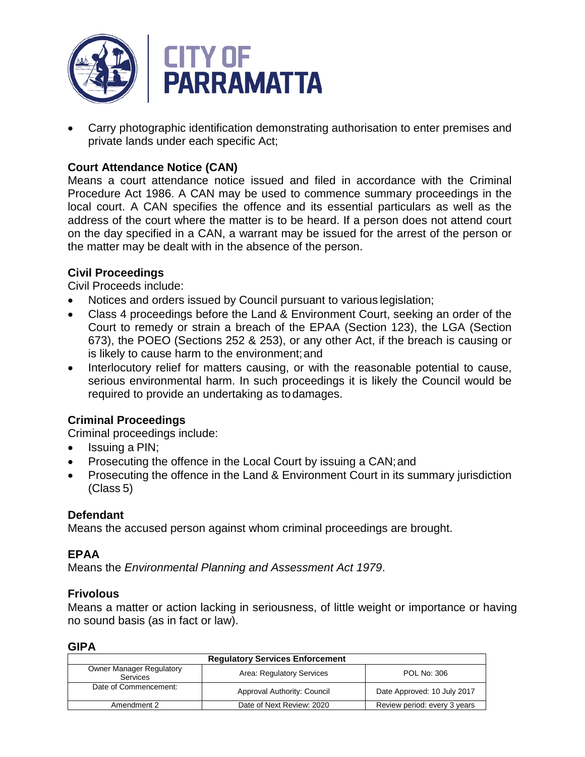

• Carry photographic identification demonstrating authorisation to enter premises and private lands under each specific Act;

# **Court Attendance Notice (CAN)**

Means a court attendance notice issued and filed in accordance with the Criminal Procedure Act 1986. A CAN may be used to commence summary proceedings in the local court. A CAN specifies the offence and its essential particulars as well as the address of the court where the matter is to be heard. If a person does not attend court on the day specified in a CAN, a warrant may be issued for the arrest of the person or the matter may be dealt with in the absence of the person.

# **Civil Proceedings**

Civil Proceeds include:

- Notices and orders issued by Council pursuant to various legislation;
- Class 4 proceedings before the Land & Environment Court, seeking an order of the Court to remedy or strain a breach of the EPAA (Section 123), the LGA (Section 673), the POEO (Sections 252 & 253), or any other Act, if the breach is causing or is likely to cause harm to the environment;and
- Interlocutory relief for matters causing, or with the reasonable potential to cause, serious environmental harm. In such proceedings it is likely the Council would be required to provide an undertaking as todamages.

# **Criminal Proceedings**

Criminal proceedings include:

- Issuing a PIN;
- Prosecuting the offence in the Local Court by issuing a CAN; and
- Prosecuting the offence in the Land & Environment Court in its summary jurisdiction (Class 5)

# **Defendant**

Means the accused person against whom criminal proceedings are brought.

# **EPAA**

Means the *Environmental Planning and Assessment Act 1979*.

# **Frivolous**

Means a matter or action lacking in seriousness, of little weight or importance or having no sound basis (as in fact or law).

# **GIPA**

| <b>Regulatory Services Enforcement</b>                                                         |                                                            |                              |  |
|------------------------------------------------------------------------------------------------|------------------------------------------------------------|------------------------------|--|
| <b>Owner Manager Regulatory</b><br>Area: Regulatory Services<br>POL No: 306<br><b>Services</b> |                                                            |                              |  |
| Date of Commencement:                                                                          | Date Approved: 10 July 2017<br>Approval Authority: Council |                              |  |
| Amendment 2                                                                                    | Date of Next Review: 2020                                  | Review period: every 3 years |  |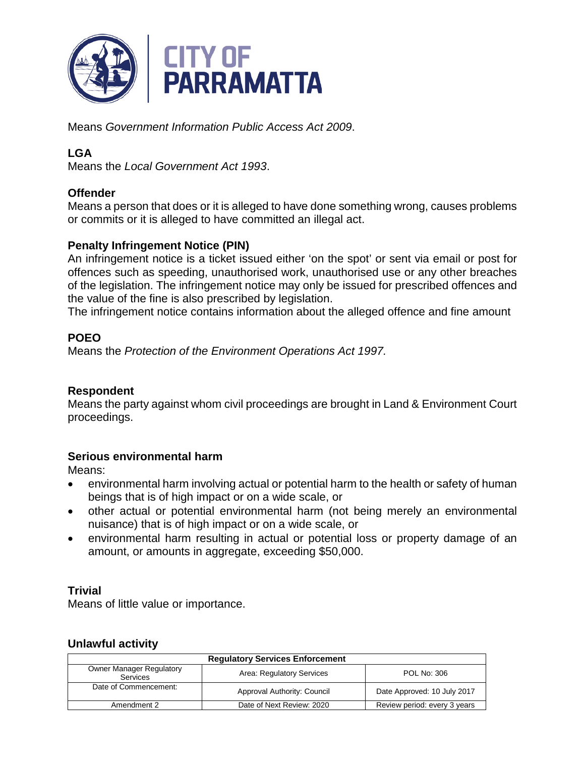

Means *Government Information Public Access Act 2009*.

# **LGA**

Means the *Local Government Act 1993*.

# **Offender**

Means a person that does or it is alleged to have done something wrong, causes problems or commits or it is alleged to have committed an illegal act.

# **Penalty Infringement Notice (PIN)**

An infringement notice is a ticket issued either 'on the spot' or sent via email or post for offences such as speeding, unauthorised work, unauthorised use or any other breaches of the legislation. The infringement notice may only be issued for prescribed offences and the value of the fine is also prescribed by legislation.

The infringement notice contains information about the alleged offence and fine amount

# **POEO**

Means the *Protection of the Environment Operations Act 1997.*

# **Respondent**

Means the party against whom civil proceedings are brought in Land & Environment Court proceedings.

# **Serious environmental harm**

Means:

- environmental harm involving actual or potential harm to the health or safety of human beings that is of high impact or on a wide scale, or
- other actual or potential environmental harm (not being merely an environmental nuisance) that is of high impact or on a wide scale, or
- environmental harm resulting in actual or potential loss or property damage of an amount, or amounts in aggregate, exceeding \$50,000.

# **Trivial**

Means of little value or importance.

# **Unlawful activity**

| <b>Regulatory Services Enforcement</b>                                                         |                                                            |                              |  |
|------------------------------------------------------------------------------------------------|------------------------------------------------------------|------------------------------|--|
| <b>Owner Manager Regulatory</b><br>Area: Regulatory Services<br>POL No: 306<br><b>Services</b> |                                                            |                              |  |
| Date of Commencement:                                                                          | Date Approved: 10 July 2017<br>Approval Authority: Council |                              |  |
| Amendment 2                                                                                    | Date of Next Review: 2020                                  | Review period: every 3 years |  |